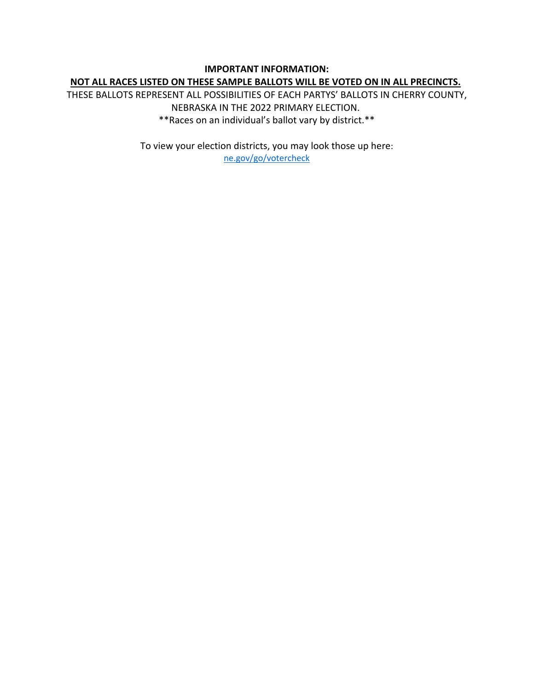## **IMPORTANT INFORMATION: NOT ALL RACES LISTED ON THESE SAMPLE BALLOTS WILL BE VOTED ON IN ALL PRECINCTS.**

THESE BALLOTS REPRESENT ALL POSSIBILITIES OF EACH PARTYS' BALLOTS IN CHERRY COUNTY, NEBRASKA IN THE 2022 PRIMARY ELECTION. \*\*Races on an individual's ballot vary by district.\*\*

> To view your election districts, you may look those up here: [ne.gov/go/votercheck](https://www.votercheck.necvr.ne.gov/voterview)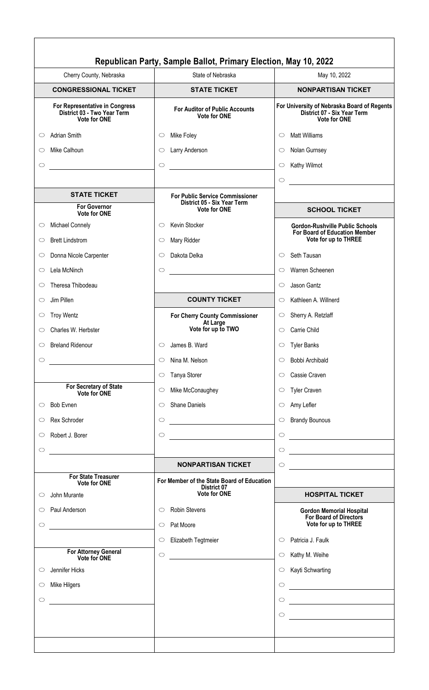|                     |                                                                                                                                                                                | Republican Party, Sample Ballot, Primary Election, May 10, 2022 |                                                                                                                                                                                                                                                                                                                                                                                                                                                                                             |
|---------------------|--------------------------------------------------------------------------------------------------------------------------------------------------------------------------------|-----------------------------------------------------------------|---------------------------------------------------------------------------------------------------------------------------------------------------------------------------------------------------------------------------------------------------------------------------------------------------------------------------------------------------------------------------------------------------------------------------------------------------------------------------------------------|
|                     | Cherry County, Nebraska                                                                                                                                                        | State of Nebraska                                               | May 10, 2022                                                                                                                                                                                                                                                                                                                                                                                                                                                                                |
|                     | <b>CONGRESSIONAL TICKET</b>                                                                                                                                                    | <b>STATE TICKET</b>                                             | <b>NONPARTISAN TICKET</b>                                                                                                                                                                                                                                                                                                                                                                                                                                                                   |
|                     | For Representative in Congress<br>District 03 - Two Year Term<br><b>Vote for ONE</b>                                                                                           | <b>For Auditor of Public Accounts</b><br><b>Vote for ONE</b>    | For University of Nebraska Board of Regents<br>District 07 - Six Year Term<br><b>Vote for ONE</b>                                                                                                                                                                                                                                                                                                                                                                                           |
| $\circ$             | <b>Adrian Smith</b>                                                                                                                                                            | Mike Foley<br>$\circ$                                           | <b>Matt Williams</b><br>O                                                                                                                                                                                                                                                                                                                                                                                                                                                                   |
| $\circ$             | Mike Calhoun                                                                                                                                                                   | Larry Anderson<br>$\circ$                                       | Nolan Gurnsey<br>$\circ$                                                                                                                                                                                                                                                                                                                                                                                                                                                                    |
| $\circ$             |                                                                                                                                                                                | $\circ$                                                         | Kathy Wilmot<br>$\circ$                                                                                                                                                                                                                                                                                                                                                                                                                                                                     |
|                     |                                                                                                                                                                                |                                                                 | $\circ$                                                                                                                                                                                                                                                                                                                                                                                                                                                                                     |
|                     | <b>STATE TICKET</b>                                                                                                                                                            | <b>For Public Service Commissioner</b>                          |                                                                                                                                                                                                                                                                                                                                                                                                                                                                                             |
|                     | <b>For Governor</b><br><b>Vote for ONE</b>                                                                                                                                     | District 05 - Six Year Term<br><b>Vote for ONE</b>              | <b>SCHOOL TICKET</b>                                                                                                                                                                                                                                                                                                                                                                                                                                                                        |
| $\circ$             | <b>Michael Connely</b>                                                                                                                                                         | Kevin Stocker<br>$\circ$                                        | <b>Gordon-Rushville Public Schools</b>                                                                                                                                                                                                                                                                                                                                                                                                                                                      |
| $\circ$             | <b>Brett Lindstrom</b>                                                                                                                                                         | Mary Ridder<br>$\circ$                                          | For Board of Education Member<br>Vote for up to THREE                                                                                                                                                                                                                                                                                                                                                                                                                                       |
| $\circ$             | Donna Nicole Carpenter                                                                                                                                                         | Dakota Delka<br>$\circ$                                         | Seth Tausan<br>O                                                                                                                                                                                                                                                                                                                                                                                                                                                                            |
| O                   | Lela McNinch                                                                                                                                                                   | $\circ$                                                         | Warren Scheenen<br>$\circ$                                                                                                                                                                                                                                                                                                                                                                                                                                                                  |
| $\circ$             | Theresa Thibodeau                                                                                                                                                              |                                                                 | Jason Gantz<br>$\circ$                                                                                                                                                                                                                                                                                                                                                                                                                                                                      |
| $\circ$             | Jim Pillen                                                                                                                                                                     | <b>COUNTY TICKET</b>                                            | Kathleen A. Willnerd<br>$\circ$                                                                                                                                                                                                                                                                                                                                                                                                                                                             |
| $\circ$             | <b>Troy Wentz</b>                                                                                                                                                              | <b>For Cherry County Commissioner</b>                           | Sherry A. Retzlaff<br>$\circ$                                                                                                                                                                                                                                                                                                                                                                                                                                                               |
| $\circ$             | Charles W. Herbster                                                                                                                                                            | At Large<br>Vote for up to TWO                                  | Carrie Child<br>$\circlearrowright$                                                                                                                                                                                                                                                                                                                                                                                                                                                         |
| O                   | <b>Breland Ridenour</b>                                                                                                                                                        | James B. Ward<br>O                                              | <b>Tyler Banks</b><br>$\circ$                                                                                                                                                                                                                                                                                                                                                                                                                                                               |
| $\circ$             | $\mathcal{L}^{\mathcal{L}}(\mathcal{L}^{\mathcal{L}})$ and $\mathcal{L}^{\mathcal{L}}(\mathcal{L}^{\mathcal{L}})$ . The contribution of the set of $\mathcal{L}^{\mathcal{L}}$ | Nina M. Nelson<br>$\circ$                                       | Bobbi Archibald<br>◯                                                                                                                                                                                                                                                                                                                                                                                                                                                                        |
|                     |                                                                                                                                                                                | Tanya Storer<br>$\circlearrowright$                             | Cassie Craven<br>O                                                                                                                                                                                                                                                                                                                                                                                                                                                                          |
|                     | For Secretary of State<br>Vote for ONE                                                                                                                                         | Mike McConaughey<br>$\circ$                                     | <b>Tyler Craven</b><br>$\circlearrowright$                                                                                                                                                                                                                                                                                                                                                                                                                                                  |
| $\circ$             | Bob Evnen                                                                                                                                                                      | <b>Shane Daniels</b><br>$\circ$                                 | Amy Lefler<br>$\circlearrowright$                                                                                                                                                                                                                                                                                                                                                                                                                                                           |
| O                   | Rex Schroder                                                                                                                                                                   | $\circ$                                                         | <b>Brandy Bounous</b><br>$\circ$                                                                                                                                                                                                                                                                                                                                                                                                                                                            |
| O                   | Robert J. Borer                                                                                                                                                                | $\circ$<br><u> 1980 - Johann Barbara, martxa amerikan per</u>   | $\circ$                                                                                                                                                                                                                                                                                                                                                                                                                                                                                     |
| $\circlearrowright$ | <u> 1989 - Andrea State Barbara, pre</u>                                                                                                                                       |                                                                 | $\circ$<br>$\begin{tabular}{lllllllllllll} \multicolumn{3}{l}{} & \multicolumn{3}{l}{} & \multicolumn{3}{l}{} & \multicolumn{3}{l}{} & \multicolumn{3}{l}{} & \multicolumn{3}{l}{} & \multicolumn{3}{l}{} & \multicolumn{3}{l}{} & \multicolumn{3}{l}{} & \multicolumn{3}{l}{} & \multicolumn{3}{l}{} & \multicolumn{3}{l}{} & \multicolumn{3}{l}{} & \multicolumn{3}{l}{} & \multicolumn{3}{l}{} & \multicolumn{3}{l}{} & \multicolumn{3}{l}{} & \multicolumn{3}{l}{} & \multicolumn{3}{l$ |
|                     |                                                                                                                                                                                | <b>NONPARTISAN TICKET</b>                                       | $\circ$<br><u> 1970 - Andrea State Barbara, politik e</u>                                                                                                                                                                                                                                                                                                                                                                                                                                   |
|                     | <b>For State Treasurer</b><br><b>Vote for ONE</b>                                                                                                                              | For Member of the State Board of Education                      |                                                                                                                                                                                                                                                                                                                                                                                                                                                                                             |
| $\circ$             | John Murante                                                                                                                                                                   | <b>District 07</b><br><b>Vote for ONE</b>                       | <b>HOSPITAL TICKET</b>                                                                                                                                                                                                                                                                                                                                                                                                                                                                      |
| $\circlearrowright$ | Paul Anderson                                                                                                                                                                  | <b>Robin Stevens</b><br>$\circ$                                 | <b>Gordon Memorial Hospital</b>                                                                                                                                                                                                                                                                                                                                                                                                                                                             |
| $\circ$             |                                                                                                                                                                                | Pat Moore<br>$\circ$                                            | <b>For Board of Directors</b><br>Vote for up to THREE                                                                                                                                                                                                                                                                                                                                                                                                                                       |
|                     |                                                                                                                                                                                | Elizabeth Tegtmeier<br>$\circ$                                  | Patricia J. Faulk<br>O                                                                                                                                                                                                                                                                                                                                                                                                                                                                      |
|                     | For Attorney General<br>Vote for ONE                                                                                                                                           | $\circ$                                                         | Kathy M. Weihe<br>$\circ$                                                                                                                                                                                                                                                                                                                                                                                                                                                                   |
| $\bigcirc$          | Jennifer Hicks                                                                                                                                                                 |                                                                 | Kayti Schwarting<br>$\circ$                                                                                                                                                                                                                                                                                                                                                                                                                                                                 |
| $\circ$             | Mike Hilgers                                                                                                                                                                   |                                                                 | $\circ$<br><u> 1980 - Andrea Station, amerikansk politik (</u>                                                                                                                                                                                                                                                                                                                                                                                                                              |
| O                   | <u> 1989 - Johann Stoff, fransk politik (d. 1989)</u>                                                                                                                          |                                                                 | O<br><u> 1980 - Antonio Alemania, prima postala prima prima prima prima prima prima prima prima prima prima prima pri</u>                                                                                                                                                                                                                                                                                                                                                                   |
|                     |                                                                                                                                                                                |                                                                 | $\circ$                                                                                                                                                                                                                                                                                                                                                                                                                                                                                     |
|                     |                                                                                                                                                                                |                                                                 |                                                                                                                                                                                                                                                                                                                                                                                                                                                                                             |
|                     |                                                                                                                                                                                |                                                                 |                                                                                                                                                                                                                                                                                                                                                                                                                                                                                             |
|                     |                                                                                                                                                                                |                                                                 |                                                                                                                                                                                                                                                                                                                                                                                                                                                                                             |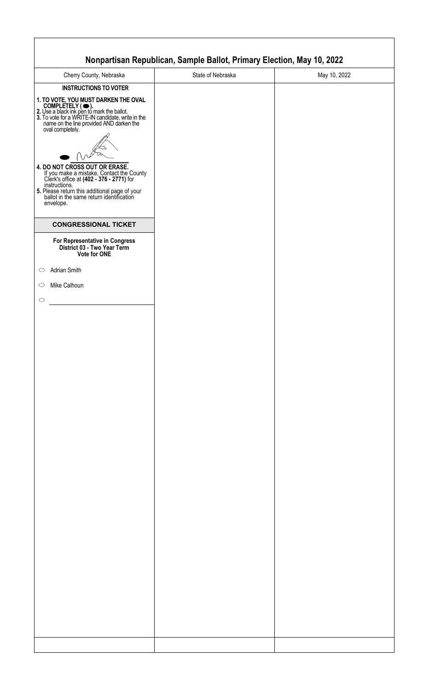| Cherry County, Nebraska                                                                                                                                                                                                               | State of Nebraska | May 10, 2022 |
|---------------------------------------------------------------------------------------------------------------------------------------------------------------------------------------------------------------------------------------|-------------------|--------------|
| <b>INSTRUCTIONS TO VOTER</b>                                                                                                                                                                                                          |                   |              |
|                                                                                                                                                                                                                                       |                   |              |
| 1. TO VOTE, YOU MUST DARKEN THE OVAL<br>COMPLETELY ( $\bigcirc$ ).<br>2. Use a black ink pen to mark the ballot.<br>3. To vote for a WRITE-IN candidate, write in the<br>name on the line provided AND darken the<br>oval completely. |                   |              |
|                                                                                                                                                                                                                                       |                   |              |
|                                                                                                                                                                                                                                       |                   |              |
|                                                                                                                                                                                                                                       |                   |              |
|                                                                                                                                                                                                                                       |                   |              |
|                                                                                                                                                                                                                                       |                   |              |
| 4. DO NOT CROSS OUT OR ERASE.<br>If you make a mistake, Contact the County<br>Clerk's office at (402 - 376 - 2771) for                                                                                                                |                   |              |
| instructions.                                                                                                                                                                                                                         |                   |              |
| 5. Please return this additional page of your<br>ballot in the same return identification                                                                                                                                             |                   |              |
| envelope.                                                                                                                                                                                                                             |                   |              |
|                                                                                                                                                                                                                                       |                   |              |
| <b>CONGRESSIONAL TICKET</b>                                                                                                                                                                                                           |                   |              |
| For Representative in Congress<br>District 03 - Two Year Term                                                                                                                                                                         |                   |              |
| <b>Vote for ONE</b>                                                                                                                                                                                                                   |                   |              |
|                                                                                                                                                                                                                                       |                   |              |
| Adrian Smith                                                                                                                                                                                                                          |                   |              |
| Mike Calhoun                                                                                                                                                                                                                          |                   |              |
|                                                                                                                                                                                                                                       |                   |              |
|                                                                                                                                                                                                                                       |                   |              |
|                                                                                                                                                                                                                                       |                   |              |
|                                                                                                                                                                                                                                       |                   |              |
|                                                                                                                                                                                                                                       |                   |              |
|                                                                                                                                                                                                                                       |                   |              |
|                                                                                                                                                                                                                                       |                   |              |
|                                                                                                                                                                                                                                       |                   |              |
|                                                                                                                                                                                                                                       |                   |              |
|                                                                                                                                                                                                                                       |                   |              |
|                                                                                                                                                                                                                                       |                   |              |
|                                                                                                                                                                                                                                       |                   |              |
|                                                                                                                                                                                                                                       |                   |              |
|                                                                                                                                                                                                                                       |                   |              |
|                                                                                                                                                                                                                                       |                   |              |
|                                                                                                                                                                                                                                       |                   |              |
|                                                                                                                                                                                                                                       |                   |              |
|                                                                                                                                                                                                                                       |                   |              |
|                                                                                                                                                                                                                                       |                   |              |
|                                                                                                                                                                                                                                       |                   |              |
|                                                                                                                                                                                                                                       |                   |              |
|                                                                                                                                                                                                                                       |                   |              |
|                                                                                                                                                                                                                                       |                   |              |
|                                                                                                                                                                                                                                       |                   |              |
|                                                                                                                                                                                                                                       |                   |              |
|                                                                                                                                                                                                                                       |                   |              |
|                                                                                                                                                                                                                                       |                   |              |
|                                                                                                                                                                                                                                       |                   |              |
|                                                                                                                                                                                                                                       |                   |              |
|                                                                                                                                                                                                                                       |                   |              |
|                                                                                                                                                                                                                                       |                   |              |
|                                                                                                                                                                                                                                       |                   |              |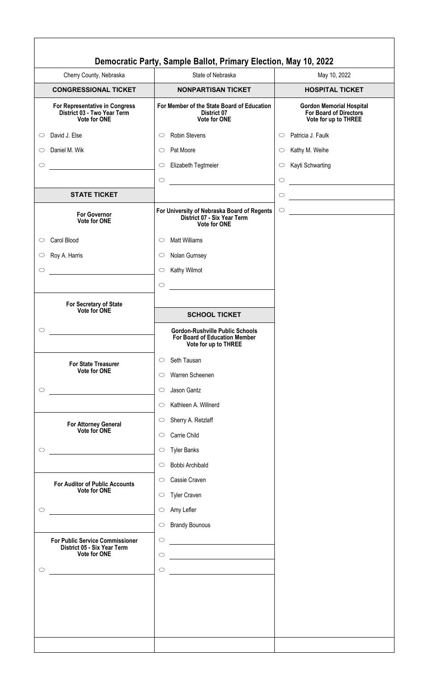|                     |                                                                                                                                                                                                | Democratic Party, Sample Ballot, Primary Election, May 10, 2022                                        |                                                                                          |
|---------------------|------------------------------------------------------------------------------------------------------------------------------------------------------------------------------------------------|--------------------------------------------------------------------------------------------------------|------------------------------------------------------------------------------------------|
|                     | Cherry County, Nebraska                                                                                                                                                                        | State of Nebraska                                                                                      | May 10, 2022                                                                             |
|                     | <b>CONGRESSIONAL TICKET</b>                                                                                                                                                                    | <b>NONPARTISAN TICKET</b>                                                                              | <b>HOSPITAL TICKET</b>                                                                   |
|                     | For Representative in Congress<br>District 03 - Two Year Term<br>Vote for ONE                                                                                                                  | For Member of the State Board of Education<br>District 07<br>Vote for ONE                              | <b>Gordon Memorial Hospital</b><br><b>For Board of Directors</b><br>Vote for up to THREE |
| $\circ$             | David J. Else                                                                                                                                                                                  | <b>Robin Stevens</b><br>$\circ$                                                                        | Patricia J. Faulk<br>$\circ$                                                             |
| $\circ$             | Daniel M. Wik                                                                                                                                                                                  | Pat Moore<br>$\circ$                                                                                   | Kathy M. Weihe<br>$\circ$                                                                |
| $\circ$             |                                                                                                                                                                                                | Elizabeth Tegtmeier<br>$\circ$                                                                         | Kayti Schwarting<br>$\circ$                                                              |
|                     |                                                                                                                                                                                                | $\bigcirc$                                                                                             | $\bigcirc$                                                                               |
|                     | <b>STATE TICKET</b>                                                                                                                                                                            |                                                                                                        | $\circ$                                                                                  |
|                     | <b>For Governor</b><br><b>Vote for ONE</b>                                                                                                                                                     | For University of Nebraska Board of Regents<br>District 07 - Six Year Term<br><b>Vote for ONE</b>      | $\circ$                                                                                  |
| $\circ$             | Carol Blood                                                                                                                                                                                    | <b>Matt Williams</b><br>$\circ$                                                                        |                                                                                          |
| $\circ$             | Roy A. Harris                                                                                                                                                                                  | Nolan Gurnsey<br>$\circ$                                                                               |                                                                                          |
| $\circlearrowright$ |                                                                                                                                                                                                | Kathy Wilmot<br>$\circ$                                                                                |                                                                                          |
|                     |                                                                                                                                                                                                | $\bigcirc$                                                                                             |                                                                                          |
|                     | For Secretary of State                                                                                                                                                                         |                                                                                                        |                                                                                          |
|                     | Vote for ONE                                                                                                                                                                                   | <b>SCHOOL TICKET</b>                                                                                   |                                                                                          |
| $\circ$             |                                                                                                                                                                                                | <b>Gordon-Rushville Public Schools</b><br><b>For Board of Education Member</b><br>Vote for up to THREE |                                                                                          |
|                     | <b>For State Treasurer</b>                                                                                                                                                                     | Seth Tausan<br>$\circ$                                                                                 |                                                                                          |
|                     | <b>Vote for ONE</b>                                                                                                                                                                            | Warren Scheenen<br>$\circ$                                                                             |                                                                                          |
| $\circ$             | $\mathcal{L}^{\mathcal{L}}(\mathcal{L}^{\mathcal{L}})$ and $\mathcal{L}^{\mathcal{L}}(\mathcal{L}^{\mathcal{L}})$ . The contribution of $\mathcal{L}^{\mathcal{L}}(\mathcal{L}^{\mathcal{L}})$ | Jason Gantz<br>$\circ$                                                                                 |                                                                                          |
|                     |                                                                                                                                                                                                | Kathleen A. Willnerd<br>$\circ$                                                                        |                                                                                          |
|                     |                                                                                                                                                                                                | Sherry A. Retzlaff<br>$\circ$                                                                          |                                                                                          |
|                     | For Attorney General<br>Vote for ONE                                                                                                                                                           | Carrie Child<br>$\circlearrowright$                                                                    |                                                                                          |
| $\circlearrowright$ |                                                                                                                                                                                                | <b>Tyler Banks</b><br>$\circ$                                                                          |                                                                                          |
|                     |                                                                                                                                                                                                | Bobbi Archibald<br>$\circ$                                                                             |                                                                                          |
|                     | <b>For Auditor of Public Accounts</b>                                                                                                                                                          | Cassie Craven<br>$\circ$                                                                               |                                                                                          |
|                     | Vote for ONE                                                                                                                                                                                   | <b>Tyler Craven</b><br>$\circ$                                                                         |                                                                                          |
| $\circlearrowright$ |                                                                                                                                                                                                | Amy Lefler<br>$\circ$                                                                                  |                                                                                          |
|                     |                                                                                                                                                                                                | <b>Brandy Bounous</b><br>$\circ$                                                                       |                                                                                          |
|                     | <b>For Public Service Commissioner</b>                                                                                                                                                         | $\circ$<br><u> 1980 - Johann Barbara, martxa a</u>                                                     |                                                                                          |
|                     | District 05 - Six Year Term<br><b>Vote for ONE</b>                                                                                                                                             | $\circ$                                                                                                |                                                                                          |
| $\circlearrowright$ |                                                                                                                                                                                                | $\circ$<br><u> 1980 - Andrea Station, amerikansk politik (</u>                                         |                                                                                          |
|                     |                                                                                                                                                                                                |                                                                                                        |                                                                                          |
|                     |                                                                                                                                                                                                |                                                                                                        |                                                                                          |
|                     |                                                                                                                                                                                                |                                                                                                        |                                                                                          |
|                     |                                                                                                                                                                                                |                                                                                                        |                                                                                          |
|                     |                                                                                                                                                                                                |                                                                                                        |                                                                                          |

 $\Gamma$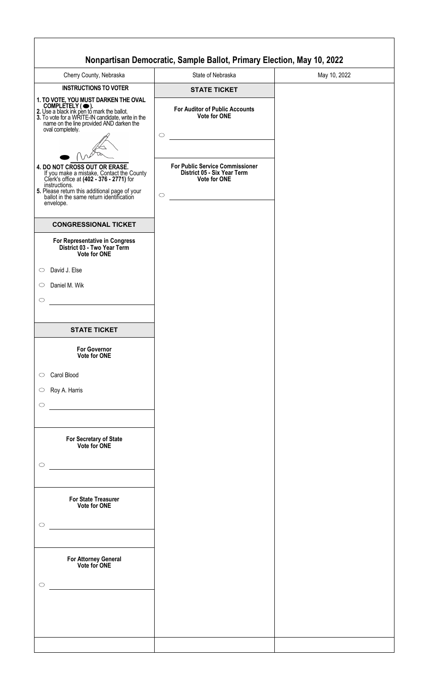| Cherry County, Nebraska                                                                                                                                                                                                                           | State of Nebraska                                                                                       | May 10, 2022 |
|---------------------------------------------------------------------------------------------------------------------------------------------------------------------------------------------------------------------------------------------------|---------------------------------------------------------------------------------------------------------|--------------|
| <b>INSTRUCTIONS TO VOTER</b>                                                                                                                                                                                                                      | <b>STATE TICKET</b>                                                                                     |              |
| 1. TO VOTE, YOU MUST DARKEN THE OVAL<br>COMPLETELY (C).<br>2. Use a black ink pen to mark the ballot.<br>3. To vote for a WRITE-IN candidate, write in the<br>name on the line provided AND darken the<br>oval completely.                        | <b>For Auditor of Public Accounts</b><br><b>Vote for ONE</b>                                            |              |
|                                                                                                                                                                                                                                                   | $\bigcirc$                                                                                              |              |
| 4. DO NOT CROSS OUT OR ERASE.<br>If you make a mistake, Contact the County<br>Clerk's office at (402 - 376 - 2771) for<br>instructions.<br>5. Please return this additional page of your<br>ballot in the same return identification<br>envelope. | <b>For Public Service Commissioner</b><br>District 05 - Six Year Term<br><b>Vote for ONE</b><br>$\circ$ |              |
| <b>CONGRESSIONAL TICKET</b>                                                                                                                                                                                                                       |                                                                                                         |              |
| For Representative in Congress<br>District 03 - Two Year Term<br><b>Vote for ONE</b>                                                                                                                                                              |                                                                                                         |              |
| David J. Else<br>$\circ$                                                                                                                                                                                                                          |                                                                                                         |              |
| Daniel M. Wik<br>$\circ$                                                                                                                                                                                                                          |                                                                                                         |              |
| $\circ$                                                                                                                                                                                                                                           |                                                                                                         |              |
|                                                                                                                                                                                                                                                   |                                                                                                         |              |
| <b>STATE TICKET</b>                                                                                                                                                                                                                               |                                                                                                         |              |
| <b>For Governor</b><br><b>Vote for ONE</b>                                                                                                                                                                                                        |                                                                                                         |              |
| Carol Blood<br>$\circ$                                                                                                                                                                                                                            |                                                                                                         |              |
| Roy A. Harris<br>$\circ$                                                                                                                                                                                                                          |                                                                                                         |              |
| $\circ$                                                                                                                                                                                                                                           |                                                                                                         |              |
|                                                                                                                                                                                                                                                   |                                                                                                         |              |
| For Secretary of State<br>Vote for ONE                                                                                                                                                                                                            |                                                                                                         |              |
| $\circ$                                                                                                                                                                                                                                           |                                                                                                         |              |
|                                                                                                                                                                                                                                                   |                                                                                                         |              |
| <b>For State Treasurer</b>                                                                                                                                                                                                                        |                                                                                                         |              |
| Vote for ONE                                                                                                                                                                                                                                      |                                                                                                         |              |
| $\circ$                                                                                                                                                                                                                                           |                                                                                                         |              |
|                                                                                                                                                                                                                                                   |                                                                                                         |              |
| For Attorney General<br>Vote for ONE                                                                                                                                                                                                              |                                                                                                         |              |
|                                                                                                                                                                                                                                                   |                                                                                                         |              |
| $\circ$                                                                                                                                                                                                                                           |                                                                                                         |              |
|                                                                                                                                                                                                                                                   |                                                                                                         |              |
|                                                                                                                                                                                                                                                   |                                                                                                         |              |
|                                                                                                                                                                                                                                                   |                                                                                                         |              |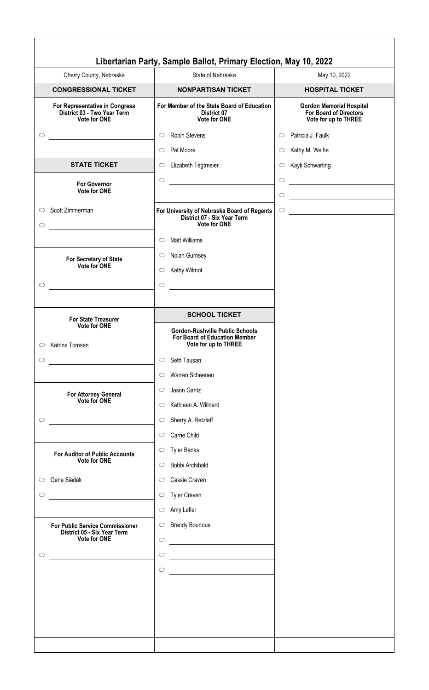|                                                                               | Libertarian Party, Sample Ballot, Primary Election, May 10, 2022                                       |                                                                                                                                                                                                     |
|-------------------------------------------------------------------------------|--------------------------------------------------------------------------------------------------------|-----------------------------------------------------------------------------------------------------------------------------------------------------------------------------------------------------|
| Cherry County, Nebraska                                                       | State of Nebraska                                                                                      | May 10, 2022                                                                                                                                                                                        |
| <b>CONGRESSIONAL TICKET</b>                                                   | <b>NONPARTISAN TICKET</b>                                                                              | <b>HOSPITAL TICKET</b>                                                                                                                                                                              |
| For Representative in Congress<br>District 03 - Two Year Term<br>Vote for ONE | For Member of the State Board of Education<br><b>District 07</b><br>Vote for ONE                       | <b>Gordon Memorial Hospital</b><br><b>For Board of Directors</b><br>Vote for up to THREE                                                                                                            |
| $\circ$                                                                       | <b>Robin Stevens</b><br>$\circ$                                                                        | Patricia J. Faulk<br>$\circ$                                                                                                                                                                        |
|                                                                               | Pat Moore<br>$\circ$                                                                                   | Kathy M. Weihe<br>$\circ$                                                                                                                                                                           |
| <b>STATE TICKET</b>                                                           | Elizabeth Tegtmeier<br>$\circ$                                                                         | Kayti Schwarting<br>$\circ$                                                                                                                                                                         |
| <b>For Governor</b><br><b>Vote for ONE</b>                                    | $\circlearrowright$                                                                                    | $\circ$                                                                                                                                                                                             |
| Scott Zimmerman<br>$\circ$<br>O                                               | For University of Nebraska Board of Regents<br>District 07 - Six Year Term<br><b>Vote for ONE</b>      | <u> 1989 - Johann Barbara, martxa amerikan per</u><br>$\circ$<br>$\bigcirc$<br><u> 1980 - Jan Stein Stein Stein Stein Stein Stein Stein Stein Stein Stein Stein Stein Stein Stein Stein Stein S</u> |
|                                                                               | <b>Matt Williams</b><br>$\circ$                                                                        |                                                                                                                                                                                                     |
|                                                                               | Nolan Gurnsey<br>$\circ$                                                                               |                                                                                                                                                                                                     |
| For Secretary of State<br>Vote for ONE                                        | Kathy Wilmot<br>$\circ$                                                                                |                                                                                                                                                                                                     |
| $\circ$                                                                       | $\bigcirc$                                                                                             |                                                                                                                                                                                                     |
|                                                                               |                                                                                                        |                                                                                                                                                                                                     |
| <b>For State Treasurer</b>                                                    | <b>SCHOOL TICKET</b>                                                                                   |                                                                                                                                                                                                     |
| <b>Vote for ONE</b><br>Katrina Tomsen<br>$\circlearrowright$                  | <b>Gordon-Rushville Public Schools</b><br><b>For Board of Education Member</b><br>Vote for up to THREE |                                                                                                                                                                                                     |
| $\circ$                                                                       | Seth Tausan<br>$\circ$                                                                                 |                                                                                                                                                                                                     |
|                                                                               | Warren Scheenen<br>$\circ$                                                                             |                                                                                                                                                                                                     |
| <b>For Attorney General</b>                                                   | Jason Gantz<br>$\circ$                                                                                 |                                                                                                                                                                                                     |
| Vote for ONE                                                                  | Kathleen A. Willnerd<br>$\circ$                                                                        |                                                                                                                                                                                                     |
| $\circlearrowright$                                                           | Sherry A. Retzlaff<br>$\circ$                                                                          |                                                                                                                                                                                                     |
|                                                                               | Carrie Child<br>$\circ$                                                                                |                                                                                                                                                                                                     |
| <b>For Auditor of Public Accounts</b>                                         | <b>Tyler Banks</b><br>$\circ$                                                                          |                                                                                                                                                                                                     |
| Vote for ONE                                                                  | Bobbi Archibald<br>$\circlearrowright$                                                                 |                                                                                                                                                                                                     |
| Gene Siadek<br>$\circ$                                                        | Cassie Craven<br>$\circ$                                                                               |                                                                                                                                                                                                     |
| $\circlearrowright$                                                           | <b>Tyler Craven</b><br>$\circ$                                                                         |                                                                                                                                                                                                     |
|                                                                               | Amy Lefler<br>$\circ$                                                                                  |                                                                                                                                                                                                     |
| <b>For Public Service Commissioner</b><br>District 05 - Six Year Term         | <b>Brandy Bounous</b><br>$\circ$                                                                       |                                                                                                                                                                                                     |
| <b>Vote for ONE</b>                                                           | $\bigcirc$<br><u> 1989 - Johann Barbara, martxa a</u>                                                  |                                                                                                                                                                                                     |
| $\circlearrowright$                                                           | $\bigcirc$<br><u> 1980 - Jan Stein Stein, fransk politik (</u>                                         |                                                                                                                                                                                                     |
|                                                                               | $\circ$                                                                                                |                                                                                                                                                                                                     |
|                                                                               |                                                                                                        |                                                                                                                                                                                                     |
|                                                                               |                                                                                                        |                                                                                                                                                                                                     |
|                                                                               |                                                                                                        |                                                                                                                                                                                                     |
|                                                                               |                                                                                                        |                                                                                                                                                                                                     |
|                                                                               |                                                                                                        |                                                                                                                                                                                                     |

٦

 $\sqrt{ }$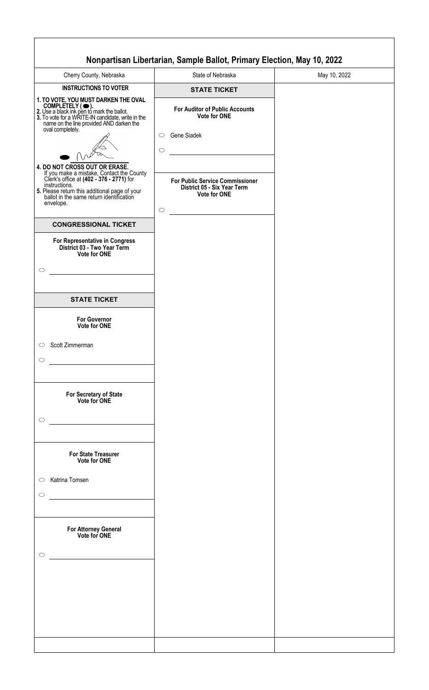| Cherry County, Nebraska                                                                                                                                                                                                                           | State of Nebraska                                                                                       | May 10, 2022 |
|---------------------------------------------------------------------------------------------------------------------------------------------------------------------------------------------------------------------------------------------------|---------------------------------------------------------------------------------------------------------|--------------|
| <b>INSTRUCTIONS TO VOTER</b>                                                                                                                                                                                                                      | <b>STATE TICKET</b>                                                                                     |              |
| 1. TO VOTE, YOU MUST DARKEN THE OVAL<br>COMPLETELY ( • ).<br>2. Use a black ink pen to mark the ballot.<br>3. To vote for a WRITE-IN candidate, write in the<br>name on the line provided AND darken the<br>oval completely.                      | <b>For Auditor of Public Accounts</b><br><b>Vote for ONE</b>                                            |              |
|                                                                                                                                                                                                                                                   | Gene Siadek<br>$\circ$<br>$\circ$                                                                       |              |
| 4. DO NOT CROSS OUT OR ERASE.<br>If you make a mistake, Contact the County<br>Clerk's office at (402 - 376 - 2771) for<br>instructions.<br>5. Please return this additional page of your<br>ballot in the same return identification<br>envelope. | <b>For Public Service Commissioner</b><br>District 05 - Six Year Term<br><b>Vote for ONE</b><br>$\circ$ |              |
| <b>CONGRESSIONAL TICKET</b>                                                                                                                                                                                                                       |                                                                                                         |              |
| For Representative in Congress<br>District 03 - Two Year Term<br>Vote for ONE                                                                                                                                                                     |                                                                                                         |              |
|                                                                                                                                                                                                                                                   |                                                                                                         |              |
| <b>STATE TICKET</b>                                                                                                                                                                                                                               |                                                                                                         |              |
| <b>For Governor</b><br>Vote for ONE                                                                                                                                                                                                               |                                                                                                         |              |
| Scott Zimmerman                                                                                                                                                                                                                                   |                                                                                                         |              |
|                                                                                                                                                                                                                                                   |                                                                                                         |              |
| For Secretary of State<br>Vote for ONE                                                                                                                                                                                                            |                                                                                                         |              |
|                                                                                                                                                                                                                                                   |                                                                                                         |              |
| <b>For State Treasurer</b><br>Vote for ONE                                                                                                                                                                                                        |                                                                                                         |              |
| Katrina Tomsen                                                                                                                                                                                                                                    |                                                                                                         |              |
| $\mathcal{L}^{\mathcal{L}}(\mathcal{L}^{\mathcal{L}})$ and $\mathcal{L}^{\mathcal{L}}(\mathcal{L}^{\mathcal{L}})$ . In the contract of the $\mathcal{L}^{\mathcal{L}}$                                                                            |                                                                                                         |              |
| For Attorney General<br>Vote for ONE                                                                                                                                                                                                              |                                                                                                         |              |
|                                                                                                                                                                                                                                                   |                                                                                                         |              |
|                                                                                                                                                                                                                                                   |                                                                                                         |              |
|                                                                                                                                                                                                                                                   |                                                                                                         |              |
|                                                                                                                                                                                                                                                   |                                                                                                         |              |
|                                                                                                                                                                                                                                                   |                                                                                                         |              |

 $\sqrt{ }$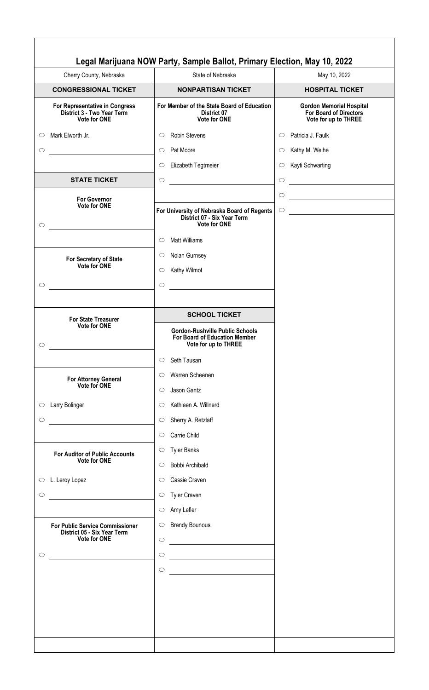|                     |                                                                              | Legal Marijuana NOW Party, Sample Ballot, Primary Election, May 10, 2022                          |                                                                                                                                    |
|---------------------|------------------------------------------------------------------------------|---------------------------------------------------------------------------------------------------|------------------------------------------------------------------------------------------------------------------------------------|
|                     | Cherry County, Nebraska                                                      | State of Nebraska                                                                                 | May 10, 2022                                                                                                                       |
|                     | <b>CONGRESSIONAL TICKET</b>                                                  | <b>NONPARTISAN TICKET</b>                                                                         | <b>HOSPITAL TICKET</b>                                                                                                             |
|                     | For Representative in Congress<br>District 3 - Two Year Term<br>Vote for ONE | For Member of the State Board of Education<br><b>District 07</b><br>Vote for ONE                  | <b>Gordon Memorial Hospital</b><br>For Board of Directors<br>Vote for up to THREE                                                  |
| $\circ$             | Mark Elworth Jr.                                                             | <b>Robin Stevens</b><br>O                                                                         | Patricia J. Faulk<br>$\circ$                                                                                                       |
| $\circ$             |                                                                              | Pat Moore<br>$\circ$                                                                              | Kathy M. Weihe<br>$\circ$                                                                                                          |
|                     |                                                                              | Elizabeth Tegtmeier<br>$\circ$                                                                    | Kayti Schwarting<br>$\circ$                                                                                                        |
|                     | <b>STATE TICKET</b>                                                          | $\circ$                                                                                           | $\circ$                                                                                                                            |
|                     | <b>For Governor</b>                                                          |                                                                                                   | $\bigcirc$<br><u> 1989 - Johann Barn, mars ann an t-Amhain Aonaich an t-Aonaich an t-Aonaich ann an t-Aonaich ann an t-Aonaich</u> |
| $\circ$             | <b>Vote for ONE</b>                                                          | For University of Nebraska Board of Regents<br>District 07 - Six Year Term<br><b>Vote for ONE</b> | $\circ$                                                                                                                            |
|                     |                                                                              | <b>Matt Williams</b><br>$\circ$                                                                   |                                                                                                                                    |
|                     |                                                                              | Nolan Gurnsey<br>$\circ$                                                                          |                                                                                                                                    |
|                     | For Secretary of State<br>Vote for ONE                                       | Kathy Wilmot<br>$\circlearrowright$                                                               |                                                                                                                                    |
| $\circ$             |                                                                              | $\circ$                                                                                           |                                                                                                                                    |
|                     |                                                                              |                                                                                                   |                                                                                                                                    |
|                     |                                                                              | <b>SCHOOL TICKET</b>                                                                              |                                                                                                                                    |
|                     | <b>For State Treasurer</b><br><b>Vote for ONE</b>                            |                                                                                                   |                                                                                                                                    |
| $\circ$             |                                                                              | <b>Gordon-Rushville Public Schools</b><br>For Board of Education Member<br>Vote for up to THREE   |                                                                                                                                    |
|                     |                                                                              | Seth Tausan<br>$\circ$                                                                            |                                                                                                                                    |
|                     | <b>For Attorney General</b>                                                  | Warren Scheenen<br>$\circ$                                                                        |                                                                                                                                    |
|                     | Vote for ONE                                                                 | Jason Gantz<br>$\circ$                                                                            |                                                                                                                                    |
| $\circ$             | Larry Bolinger                                                               | Kathleen A. Willnerd<br>$\circlearrowright$                                                       |                                                                                                                                    |
| $\circlearrowright$ |                                                                              | Sherry A. Retzlaff<br>$\circlearrowright$                                                         |                                                                                                                                    |
|                     |                                                                              | Carrie Child<br>$\circ$                                                                           |                                                                                                                                    |
|                     | <b>For Auditor of Public Accounts</b>                                        | <b>Tyler Banks</b><br>$\circlearrowright$                                                         |                                                                                                                                    |
|                     | Vote for ONE                                                                 | Bobbi Archibald<br>$\circ$                                                                        |                                                                                                                                    |
|                     | $\circ$ L. Leroy Lopez                                                       | Cassie Craven<br>$\circlearrowright$                                                              |                                                                                                                                    |
| $\circ$             |                                                                              | <b>Tyler Craven</b><br>$\circ$                                                                    |                                                                                                                                    |
|                     |                                                                              | Amy Lefler<br>$\circ$                                                                             |                                                                                                                                    |
|                     | <b>For Public Service Commissioner</b>                                       | <b>Brandy Bounous</b><br>$\circlearrowright$                                                      |                                                                                                                                    |
|                     | District 05 - Six Year Term<br><b>Vote for ONE</b>                           | $\circ$<br><u> 1980 - Johann Barbara, martxa a</u>                                                |                                                                                                                                    |
| $\circlearrowright$ |                                                                              | $\circ$                                                                                           |                                                                                                                                    |
|                     |                                                                              | $\circ$                                                                                           |                                                                                                                                    |
|                     |                                                                              |                                                                                                   |                                                                                                                                    |
|                     |                                                                              |                                                                                                   |                                                                                                                                    |
|                     |                                                                              |                                                                                                   |                                                                                                                                    |
|                     |                                                                              |                                                                                                   |                                                                                                                                    |
|                     |                                                                              |                                                                                                   |                                                                                                                                    |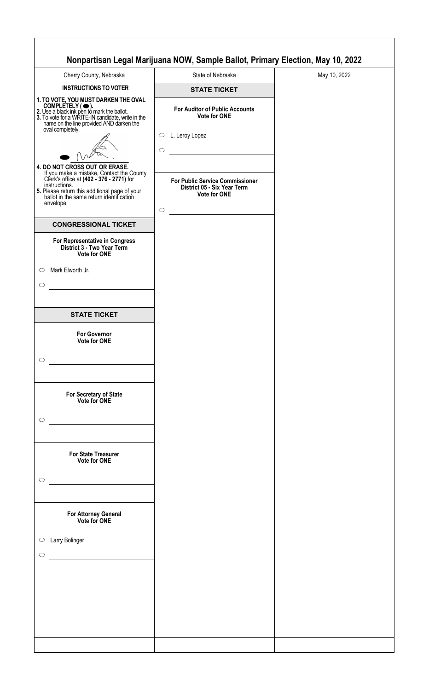| <b>INSTRUCTIONS TO VOTER</b><br><b>STATE TICKET</b><br>1. TO VOTE, YOU MUST DARKEN THE OVAL<br>COMPLETELY ( •).<br>2. Use a black ink pen to mark the ballot.<br>3. To vote for a WRITE-IN candidate, write in the<br><b>For Auditor of Public Accounts</b><br><b>Vote for ONE</b><br>name on the line provided AND darken the<br>oval completely.<br>L. Leroy Lopez<br>$\circ$<br>$\circ$<br>4. DO NOT CROSS OUT OR ERASE.<br>If you make a mistake, Contact the County<br>Clerk's office at (402 - 376 - 2771) for<br><b>For Public Service Commissioner</b><br>instructions.<br>District 05 - Six Year Term<br>5. Please return this additional page of your<br>ballot in the same return identification<br>Vote for ONE<br>envelope.<br>$\circ$<br><b>CONGRESSIONAL TICKET</b><br>For Representative in Congress<br>District 3 - Two Year Term<br>Vote for ONE<br>Mark Elworth Jr.<br><b>STATE TICKET</b><br><b>For Governor</b><br>Vote for ONE<br>For Secretary of State<br>Vote for ONE |  |
|------------------------------------------------------------------------------------------------------------------------------------------------------------------------------------------------------------------------------------------------------------------------------------------------------------------------------------------------------------------------------------------------------------------------------------------------------------------------------------------------------------------------------------------------------------------------------------------------------------------------------------------------------------------------------------------------------------------------------------------------------------------------------------------------------------------------------------------------------------------------------------------------------------------------------------------------------------------------------------------------|--|
|                                                                                                                                                                                                                                                                                                                                                                                                                                                                                                                                                                                                                                                                                                                                                                                                                                                                                                                                                                                                |  |
|                                                                                                                                                                                                                                                                                                                                                                                                                                                                                                                                                                                                                                                                                                                                                                                                                                                                                                                                                                                                |  |
|                                                                                                                                                                                                                                                                                                                                                                                                                                                                                                                                                                                                                                                                                                                                                                                                                                                                                                                                                                                                |  |
|                                                                                                                                                                                                                                                                                                                                                                                                                                                                                                                                                                                                                                                                                                                                                                                                                                                                                                                                                                                                |  |
|                                                                                                                                                                                                                                                                                                                                                                                                                                                                                                                                                                                                                                                                                                                                                                                                                                                                                                                                                                                                |  |
|                                                                                                                                                                                                                                                                                                                                                                                                                                                                                                                                                                                                                                                                                                                                                                                                                                                                                                                                                                                                |  |
|                                                                                                                                                                                                                                                                                                                                                                                                                                                                                                                                                                                                                                                                                                                                                                                                                                                                                                                                                                                                |  |
|                                                                                                                                                                                                                                                                                                                                                                                                                                                                                                                                                                                                                                                                                                                                                                                                                                                                                                                                                                                                |  |
|                                                                                                                                                                                                                                                                                                                                                                                                                                                                                                                                                                                                                                                                                                                                                                                                                                                                                                                                                                                                |  |
|                                                                                                                                                                                                                                                                                                                                                                                                                                                                                                                                                                                                                                                                                                                                                                                                                                                                                                                                                                                                |  |
| <b>For State Treasurer</b>                                                                                                                                                                                                                                                                                                                                                                                                                                                                                                                                                                                                                                                                                                                                                                                                                                                                                                                                                                     |  |
| <b>Vote for ONE</b>                                                                                                                                                                                                                                                                                                                                                                                                                                                                                                                                                                                                                                                                                                                                                                                                                                                                                                                                                                            |  |
| the control of the control of the control of the control of<br>For Attorney General<br>Vote for ONE                                                                                                                                                                                                                                                                                                                                                                                                                                                                                                                                                                                                                                                                                                                                                                                                                                                                                            |  |
| Larry Bolinger                                                                                                                                                                                                                                                                                                                                                                                                                                                                                                                                                                                                                                                                                                                                                                                                                                                                                                                                                                                 |  |
|                                                                                                                                                                                                                                                                                                                                                                                                                                                                                                                                                                                                                                                                                                                                                                                                                                                                                                                                                                                                |  |
|                                                                                                                                                                                                                                                                                                                                                                                                                                                                                                                                                                                                                                                                                                                                                                                                                                                                                                                                                                                                |  |